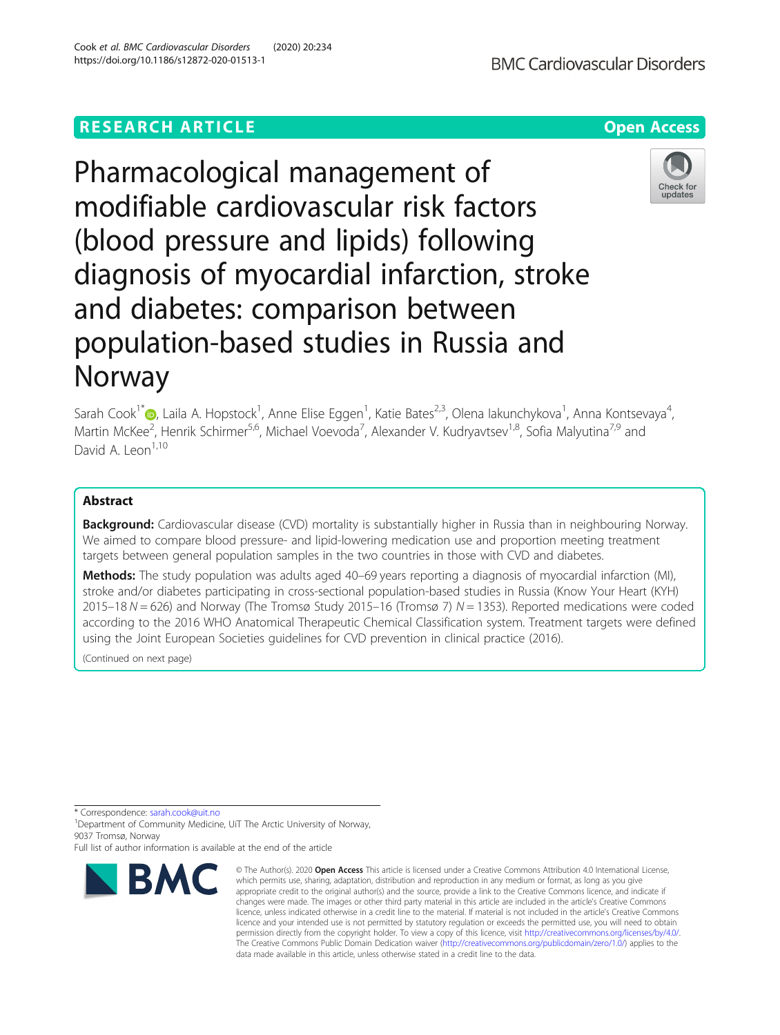## **RESEARCH ARTICLE Example 2014 12:30 The Contract of Contract ACCESS**

# Pharmacological management of modifiable cardiovascular risk factors (blood pressure and lipids) following diagnosis of myocardial infarction, stroke and diabetes: comparison between population-based studies in Russia and Norway

Sarah Cook<sup>1\*</sup>�[,](http://orcid.org/0000-0003-1250-2967) Laila A. Hopstock<sup>1</sup>, Anne Elise Eggen<sup>1</sup>, Katie Bates<sup>2,3</sup>, Olena Iakunchykova<sup>1</sup>, Anna Kontsevaya<sup>4</sup> , Martin McKee<sup>2</sup>, Henrik Schirmer<sup>5,6</sup>, Michael Voevoda<sup>7</sup>, Alexander V. Kudryavtsev<sup>1,8</sup>, Sofia Malyutina<sup>7,9</sup> and David A. Leon<sup>1,10</sup>

### Abstract

**Background:** Cardiovascular disease (CVD) mortality is substantially higher in Russia than in neighbouring Norway. We aimed to compare blood pressure- and lipid-lowering medication use and proportion meeting treatment targets between general population samples in the two countries in those with CVD and diabetes.

Methods: The study population was adults aged 40–69 years reporting a diagnosis of myocardial infarction (MI), stroke and/or diabetes participating in cross-sectional population-based studies in Russia (Know Your Heart (KYH) 2015–18  $N = 626$ ) and Norway (The Tromsø Study 2015–16 (Tromsø 7)  $N = 1353$ ). Reported medications were coded according to the 2016 WHO Anatomical Therapeutic Chemical Classification system. Treatment targets were defined using the Joint European Societies guidelines for CVD prevention in clinical practice (2016).

(Continued on next page)

\* Correspondence: [sarah.cook@uit.no](mailto:sarah.cook@uit.no) <sup>1</sup>

<sup>1</sup> Department of Community Medicine, UiT The Arctic University of Norway, 9037 Tromsø, Norway





# **BMC Cardiovascular Disorders**

**BMC** 

Full list of author information is available at the end of the article

<sup>©</sup> The Author(s), 2020 **Open Access** This article is licensed under a Creative Commons Attribution 4.0 International License, which permits use, sharing, adaptation, distribution and reproduction in any medium or format, as long as you give appropriate credit to the original author(s) and the source, provide a link to the Creative Commons licence, and indicate if changes were made. The images or other third party material in this article are included in the article's Creative Commons licence, unless indicated otherwise in a credit line to the material. If material is not included in the article's Creative Commons licence and your intended use is not permitted by statutory regulation or exceeds the permitted use, you will need to obtain permission directly from the copyright holder. To view a copy of this licence, visit [http://creativecommons.org/licenses/by/4.0/.](http://creativecommons.org/licenses/by/4.0/) The Creative Commons Public Domain Dedication waiver [\(http://creativecommons.org/publicdomain/zero/1.0/](http://creativecommons.org/publicdomain/zero/1.0/)) applies to the data made available in this article, unless otherwise stated in a credit line to the data.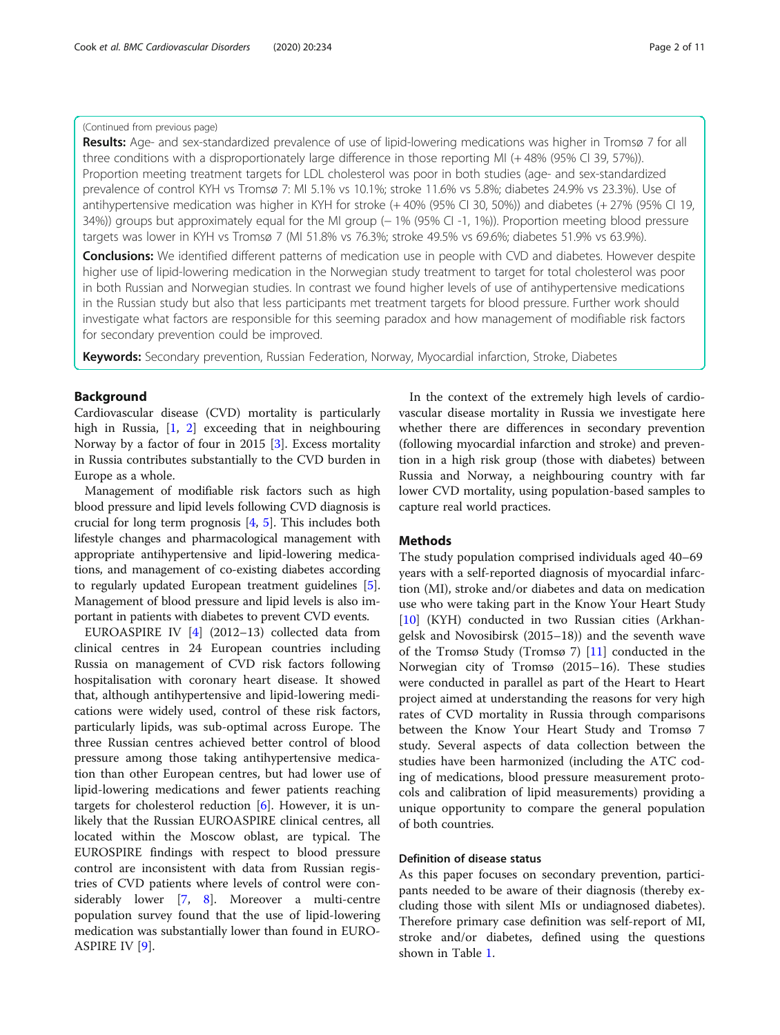#### (Continued from previous page)

Results: Age- and sex-standardized prevalence of use of lipid-lowering medications was higher in Tromsø 7 for all three conditions with a disproportionately large difference in those reporting MI (+ 48% (95% CI 39, 57%)). Proportion meeting treatment targets for LDL cholesterol was poor in both studies (age- and sex-standardized prevalence of control KYH vs Tromsø 7: MI 5.1% vs 10.1%; stroke 11.6% vs 5.8%; diabetes 24.9% vs 23.3%). Use of antihypertensive medication was higher in KYH for stroke (+40% (95% CI 30, 50%)) and diabetes (+27% (95% CI 19, 34%)) groups but approximately equal for the MI group (− 1% (95% CI -1, 1%)). Proportion meeting blood pressure targets was lower in KYH vs Tromsø 7 (MI 51.8% vs 76.3%; stroke 49.5% vs 69.6%; diabetes 51.9% vs 63.9%).

**Conclusions:** We identified different patterns of medication use in people with CVD and diabetes. However despite higher use of lipid-lowering medication in the Norwegian study treatment to target for total cholesterol was poor in both Russian and Norwegian studies. In contrast we found higher levels of use of antihypertensive medications in the Russian study but also that less participants met treatment targets for blood pressure. Further work should investigate what factors are responsible for this seeming paradox and how management of modifiable risk factors for secondary prevention could be improved.

Keywords: Secondary prevention, Russian Federation, Norway, Myocardial infarction, Stroke, Diabetes

#### Background

Cardiovascular disease (CVD) mortality is particularly high in Russia, [[1,](#page-10-0) [2](#page-10-0)] exceeding that in neighbouring Norway by a factor of four in 2015 [\[3](#page-10-0)]. Excess mortality in Russia contributes substantially to the CVD burden in Europe as a whole.

Management of modifiable risk factors such as high blood pressure and lipid levels following CVD diagnosis is crucial for long term prognosis [\[4](#page-10-0), [5\]](#page-10-0). This includes both lifestyle changes and pharmacological management with appropriate antihypertensive and lipid-lowering medications, and management of co-existing diabetes according to regularly updated European treatment guidelines [[5](#page-10-0)]. Management of blood pressure and lipid levels is also important in patients with diabetes to prevent CVD events.

EUROASPIRE IV [[4\]](#page-10-0) (2012–13) collected data from clinical centres in 24 European countries including Russia on management of CVD risk factors following hospitalisation with coronary heart disease. It showed that, although antihypertensive and lipid-lowering medications were widely used, control of these risk factors, particularly lipids, was sub-optimal across Europe. The three Russian centres achieved better control of blood pressure among those taking antihypertensive medication than other European centres, but had lower use of lipid-lowering medications and fewer patients reaching targets for cholesterol reduction [[6\]](#page-10-0). However, it is unlikely that the Russian EUROASPIRE clinical centres, all located within the Moscow oblast, are typical. The EUROSPIRE findings with respect to blood pressure control are inconsistent with data from Russian registries of CVD patients where levels of control were considerably lower [\[7](#page-10-0), [8](#page-10-0)]. Moreover a multi-centre population survey found that the use of lipid-lowering medication was substantially lower than found in EURO-ASPIRE IV [\[9\]](#page-10-0).

In the context of the extremely high levels of cardiovascular disease mortality in Russia we investigate here whether there are differences in secondary prevention (following myocardial infarction and stroke) and prevention in a high risk group (those with diabetes) between Russia and Norway, a neighbouring country with far lower CVD mortality, using population-based samples to capture real world practices.

#### **Methods**

The study population comprised individuals aged 40–69 years with a self-reported diagnosis of myocardial infarction (MI), stroke and/or diabetes and data on medication use who were taking part in the Know Your Heart Study [[10\]](#page-10-0) (KYH) conducted in two Russian cities (Arkhangelsk and Novosibirsk (2015–18)) and the seventh wave of the Tromsø Study (Tromsø 7) [[11\]](#page-10-0) conducted in the Norwegian city of Tromsø (2015–16). These studies were conducted in parallel as part of the Heart to Heart project aimed at understanding the reasons for very high rates of CVD mortality in Russia through comparisons between the Know Your Heart Study and Tromsø 7 study. Several aspects of data collection between the studies have been harmonized (including the ATC coding of medications, blood pressure measurement protocols and calibration of lipid measurements) providing a unique opportunity to compare the general population of both countries.

#### Definition of disease status

As this paper focuses on secondary prevention, participants needed to be aware of their diagnosis (thereby excluding those with silent MIs or undiagnosed diabetes). Therefore primary case definition was self-report of MI, stroke and/or diabetes, defined using the questions shown in Table [1.](#page-2-0)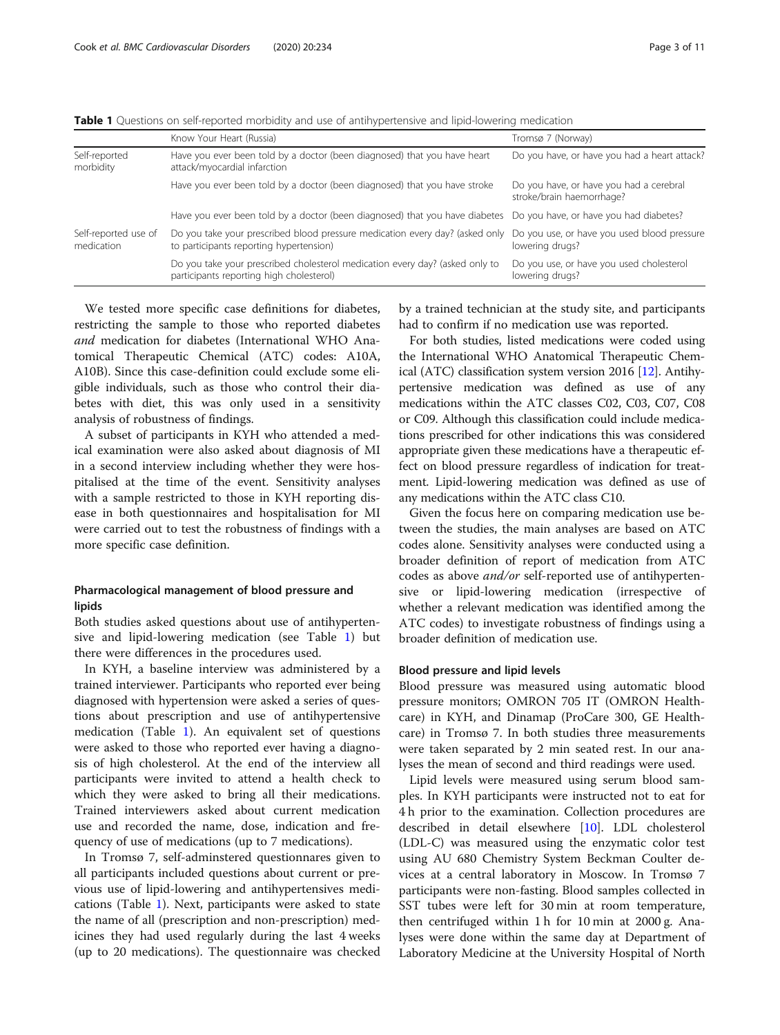<span id="page-2-0"></span>Table 1 Questions on self-reported morbidity and use of antihypertensive and lipid-lowering medication

|                                    | Know Your Heart (Russia)                                                                                                 | Tromsø 7 (Norway)                                                    |
|------------------------------------|--------------------------------------------------------------------------------------------------------------------------|----------------------------------------------------------------------|
| Self-reported<br>morbidity         | Have you ever been told by a doctor (been diagnosed) that you have heart<br>attack/myocardial infarction                 | Do you have, or have you had a heart attack?                         |
|                                    | Have you ever been told by a doctor (been diagnosed) that you have stroke                                                | Do you have, or have you had a cerebral<br>stroke/brain haemorrhage? |
|                                    | Have you ever been told by a doctor (been diagnosed) that you have diabetes                                              | Do you have, or have you had diabetes?                               |
| Self-reported use of<br>medication | Do you take your prescribed blood pressure medication every day? (asked only<br>to participants reporting hypertension)  | Do you use, or have you used blood pressure<br>lowering drugs?       |
|                                    | Do you take your prescribed cholesterol medication every day? (asked only to<br>participants reporting high cholesterol) | Do you use, or have you used cholesterol<br>lowering drugs?          |

We tested more specific case definitions for diabetes, restricting the sample to those who reported diabetes and medication for diabetes (International WHO Anatomical Therapeutic Chemical (ATC) codes: A10A, A10B). Since this case-definition could exclude some eligible individuals, such as those who control their diabetes with diet, this was only used in a sensitivity analysis of robustness of findings.

A subset of participants in KYH who attended a medical examination were also asked about diagnosis of MI in a second interview including whether they were hospitalised at the time of the event. Sensitivity analyses with a sample restricted to those in KYH reporting disease in both questionnaires and hospitalisation for MI were carried out to test the robustness of findings with a more specific case definition.

#### Pharmacological management of blood pressure and lipids

Both studies asked questions about use of antihypertensive and lipid-lowering medication (see Table 1) but there were differences in the procedures used.

In KYH, a baseline interview was administered by a trained interviewer. Participants who reported ever being diagnosed with hypertension were asked a series of questions about prescription and use of antihypertensive medication (Table 1). An equivalent set of questions were asked to those who reported ever having a diagnosis of high cholesterol. At the end of the interview all participants were invited to attend a health check to which they were asked to bring all their medications. Trained interviewers asked about current medication use and recorded the name, dose, indication and frequency of use of medications (up to 7 medications).

In Tromsø 7, self-adminstered questionnares given to all participants included questions about current or previous use of lipid-lowering and antihypertensives medications (Table 1). Next, participants were asked to state the name of all (prescription and non-prescription) medicines they had used regularly during the last 4 weeks (up to 20 medications). The questionnaire was checked

by a trained technician at the study site, and participants had to confirm if no medication use was reported.

For both studies, listed medications were coded using the International WHO Anatomical Therapeutic Chemical (ATC) classification system version 2016 [\[12\]](#page-10-0). Antihypertensive medication was defined as use of any medications within the ATC classes C02, C03, C07, C08 or C09. Although this classification could include medications prescribed for other indications this was considered appropriate given these medications have a therapeutic effect on blood pressure regardless of indication for treatment. Lipid-lowering medication was defined as use of any medications within the ATC class C10.

Given the focus here on comparing medication use between the studies, the main analyses are based on ATC codes alone. Sensitivity analyses were conducted using a broader definition of report of medication from ATC codes as above and/or self-reported use of antihypertensive or lipid-lowering medication (irrespective of whether a relevant medication was identified among the ATC codes) to investigate robustness of findings using a broader definition of medication use.

#### Blood pressure and lipid levels

Blood pressure was measured using automatic blood pressure monitors; OMRON 705 IT (OMRON Healthcare) in KYH, and Dinamap (ProCare 300, GE Healthcare) in Tromsø 7. In both studies three measurements were taken separated by 2 min seated rest. In our analyses the mean of second and third readings were used.

Lipid levels were measured using serum blood samples. In KYH participants were instructed not to eat for 4 h prior to the examination. Collection procedures are described in detail elsewhere [\[10\]](#page-10-0). LDL cholesterol (LDL-C) was measured using the enzymatic color test using AU 680 Chemistry System Beckman Coulter devices at a central laboratory in Moscow. In Tromsø 7 participants were non-fasting. Blood samples collected in SST tubes were left for 30 min at room temperature, then centrifuged within 1 h for 10 min at 2000 g. Analyses were done within the same day at Department of Laboratory Medicine at the University Hospital of North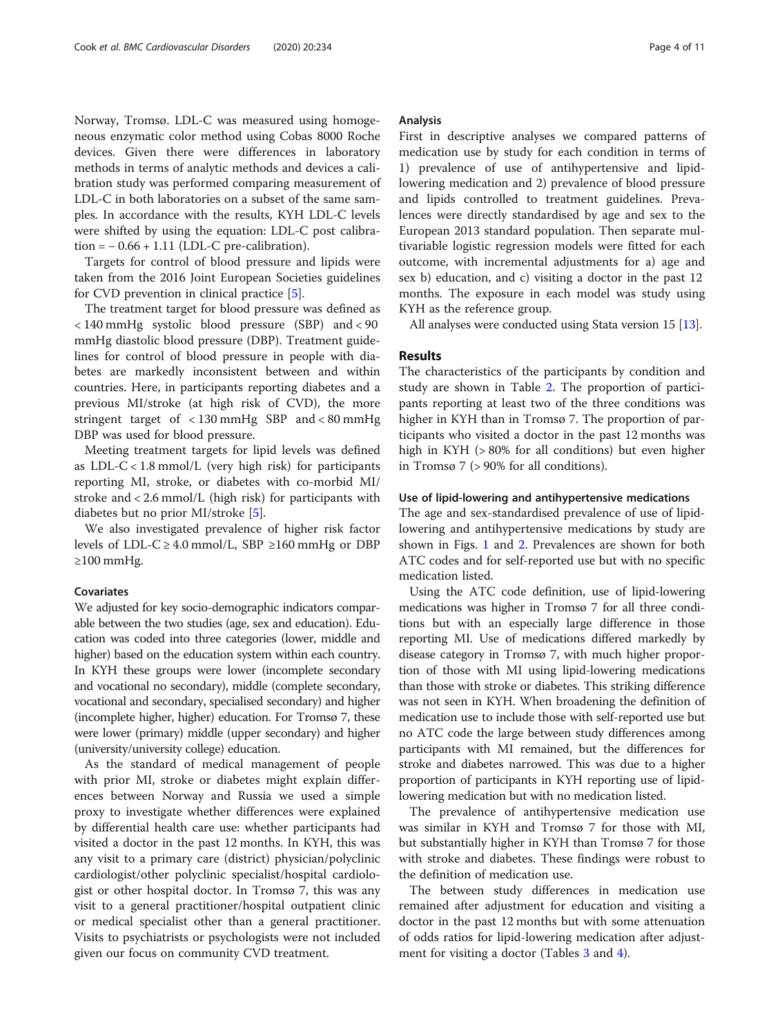Norway, Tromsø. LDL-C was measured using homogeneous enzymatic color method using Cobas 8000 Roche devices. Given there were differences in laboratory methods in terms of analytic methods and devices a calibration study was performed comparing measurement of LDL-C in both laboratories on a subset of the same samples. In accordance with the results, KYH LDL-C levels were shifted by using the equation: LDL-C post calibra- $\text{tion} = -0.66 + 1.11 \text{ (LDL-C pre-calibration)}.$ 

Targets for control of blood pressure and lipids were taken from the 2016 Joint European Societies guidelines for CVD prevention in clinical practice [[5\]](#page-10-0).

The treatment target for blood pressure was defined as < 140 mmHg systolic blood pressure (SBP) and < 90 mmHg diastolic blood pressure (DBP). Treatment guidelines for control of blood pressure in people with diabetes are markedly inconsistent between and within countries. Here, in participants reporting diabetes and a previous MI/stroke (at high risk of CVD), the more stringent target of < 130 mmHg SBP and < 80 mmHg DBP was used for blood pressure.

Meeting treatment targets for lipid levels was defined as  $LDL-C < 1.8$  mmol/L (very high risk) for participants reporting MI, stroke, or diabetes with co-morbid MI/ stroke and < 2.6 mmol/L (high risk) for participants with diabetes but no prior MI/stroke [[5\]](#page-10-0).

We also investigated prevalence of higher risk factor levels of LDL-C  $\geq$  4.0 mmol/L, SBP  $\geq$ 160 mmHg or DBP ≥100 mmHg.

#### Covariates

We adjusted for key socio-demographic indicators comparable between the two studies (age, sex and education). Education was coded into three categories (lower, middle and higher) based on the education system within each country. In KYH these groups were lower (incomplete secondary and vocational no secondary), middle (complete secondary, vocational and secondary, specialised secondary) and higher (incomplete higher, higher) education. For Tromsø 7, these were lower (primary) middle (upper secondary) and higher (university/university college) education.

As the standard of medical management of people with prior MI, stroke or diabetes might explain differences between Norway and Russia we used a simple proxy to investigate whether differences were explained by differential health care use: whether participants had visited a doctor in the past 12 months. In KYH, this was any visit to a primary care (district) physician/polyclinic cardiologist/other polyclinic specialist/hospital cardiologist or other hospital doctor. In Tromsø 7, this was any visit to a general practitioner/hospital outpatient clinic or medical specialist other than a general practitioner. Visits to psychiatrists or psychologists were not included given our focus on community CVD treatment.

#### Analysis

First in descriptive analyses we compared patterns of medication use by study for each condition in terms of 1) prevalence of use of antihypertensive and lipidlowering medication and 2) prevalence of blood pressure and lipids controlled to treatment guidelines. Prevalences were directly standardised by age and sex to the European 2013 standard population. Then separate multivariable logistic regression models were fitted for each outcome, with incremental adjustments for a) age and sex b) education, and c) visiting a doctor in the past 12 months. The exposure in each model was study using KYH as the reference group.

All analyses were conducted using Stata version 15 [\[13](#page-10-0)].

#### Results

The characteristics of the participants by condition and study are shown in Table [2.](#page-4-0) The proportion of participants reporting at least two of the three conditions was higher in KYH than in Tromsø 7. The proportion of participants who visited a doctor in the past 12 months was high in KYH (> 80% for all conditions) but even higher in Tromsø 7 (> 90% for all conditions).

#### Use of lipid-lowering and antihypertensive medications

The age and sex-standardised prevalence of use of lipidlowering and antihypertensive medications by study are shown in Figs. [1](#page-5-0) and [2.](#page-6-0) Prevalences are shown for both ATC codes and for self-reported use but with no specific medication listed.

Using the ATC code definition, use of lipid-lowering medications was higher in Tromsø 7 for all three conditions but with an especially large difference in those reporting MI. Use of medications differed markedly by disease category in Tromsø 7, with much higher proportion of those with MI using lipid-lowering medications than those with stroke or diabetes. This striking difference was not seen in KYH. When broadening the definition of medication use to include those with self-reported use but no ATC code the large between study differences among participants with MI remained, but the differences for stroke and diabetes narrowed. This was due to a higher proportion of participants in KYH reporting use of lipidlowering medication but with no medication listed.

The prevalence of antihypertensive medication use was similar in KYH and Tromsø 7 for those with MI, but substantially higher in KYH than Tromsø 7 for those with stroke and diabetes. These findings were robust to the definition of medication use.

The between study differences in medication use remained after adjustment for education and visiting a doctor in the past 12 months but with some attenuation of odds ratios for lipid-lowering medication after adjust-ment for visiting a doctor (Tables [3](#page-7-0) and [4](#page-8-0)).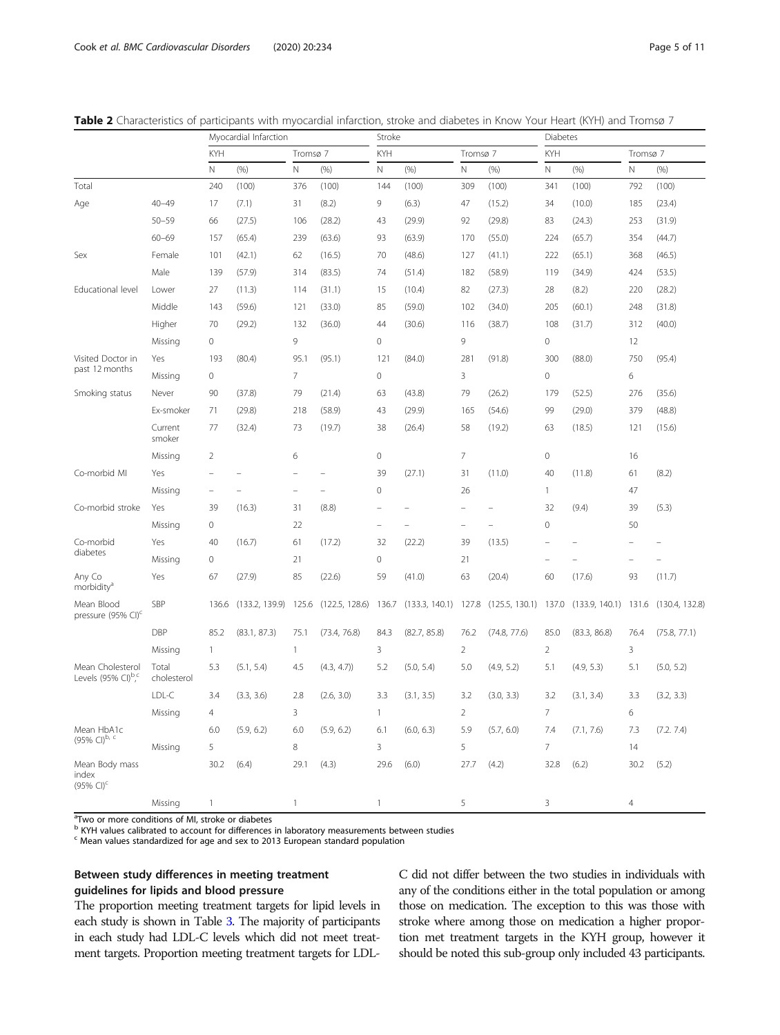|                                                  |                      |                          | Myocardial Infarction |                          |                | Stroke                   |                        |                |                        | Diabetes                 |                |                          |                |
|--------------------------------------------------|----------------------|--------------------------|-----------------------|--------------------------|----------------|--------------------------|------------------------|----------------|------------------------|--------------------------|----------------|--------------------------|----------------|
|                                                  |                      | <b>KYH</b>               |                       | Tromsø 7                 |                | <b>KYH</b>               |                        | Tromsø 7       |                        | <b>KYH</b>               |                | Tromsø 7                 |                |
|                                                  |                      | $\mathsf{N}$             | (96)                  | $\mathbb N$              | (% )           | $\mathbb N$              | (96)                   | N              | (% )                   | N                        | (% )           | $\mathsf{N}$             | (% )           |
| Total                                            |                      | 240                      | (100)                 | 376                      | (100)          | 144                      | (100)                  | 309            | (100)                  | 341                      | (100)          | 792                      | (100)          |
| Age                                              | $40 - 49$            | 17                       | (7.1)                 | 31                       | (8.2)          | 9                        | (6.3)                  | 47             | (15.2)                 | 34                       | (10.0)         | 185                      | (23.4)         |
|                                                  | $50 - 59$            | 66                       | (27.5)                | 106                      | (28.2)         | 43                       | (29.9)                 | 92             | (29.8)                 | 83                       | (24.3)         | 253                      | (31.9)         |
|                                                  | $60 - 69$            | 157                      | (65.4)                | 239                      | (63.6)         | 93                       | (63.9)                 | 170            | (55.0)                 | 224                      | (65.7)         | 354                      | (44.7)         |
| Sex                                              | Female               | 101                      | (42.1)                | 62                       | (16.5)         | 70                       | (48.6)                 | 127            | (41.1)                 | 222                      | (65.1)         | 368                      | (46.5)         |
|                                                  | Male                 | 139                      | (57.9)                | 314                      | (83.5)         | 74                       | (51.4)                 | 182            | (58.9)                 | 119                      | (34.9)         | 424                      | (53.5)         |
| Educational level                                | Lower                | 27                       | (11.3)                | 114                      | (31.1)         | 15                       | (10.4)                 | 82             | (27.3)                 | 28                       | (8.2)          | 220                      | (28.2)         |
|                                                  | Middle               | 143                      | (59.6)                | 121                      | (33.0)         | 85                       | (59.0)                 | 102            | (34.0)                 | 205                      | (60.1)         | 248                      | (31.8)         |
|                                                  | Higher               | 70                       | (29.2)                | 132                      | (36.0)         | 44                       | (30.6)                 | 116            | (38.7)                 | 108                      | (31.7)         | 312                      | (40.0)         |
|                                                  | Missing              | $\mathbf 0$              |                       | 9                        |                | $\mathbf{0}$             |                        | 9              |                        | $\circ$                  |                | 12                       |                |
| Visited Doctor in                                | Yes                  | 193                      | (80.4)                | 95.1                     | (95.1)         | 121                      | (84.0)                 | 281            | (91.8)                 | 300                      | (88.0)         | 750                      | (95.4)         |
| past 12 months                                   | Missing              | 0                        |                       | 7                        |                | $\mathbf 0$              |                        | 3              |                        | 0                        |                | 6                        |                |
| Smoking status                                   | Never                | 90                       | (37.8)                | 79                       | (21.4)         | 63                       | (43.8)                 | 79             | (26.2)                 | 179                      | (52.5)         | 276                      | (35.6)         |
|                                                  | Ex-smoker            | 71                       | (29.8)                | 218                      | (58.9)         | 43                       | (29.9)                 | 165            | (54.6)                 | 99                       | (29.0)         | 379                      | (48.8)         |
|                                                  | Current<br>smoker    | 77                       | (32.4)                | 73                       | (19.7)         | 38                       | (26.4)                 | 58             | (19.2)                 | 63                       | (18.5)         | 121                      | (15.6)         |
|                                                  | Missing              | $\overline{2}$           |                       | 6                        |                | $\mathbf 0$              |                        | 7              |                        | $\mathcal O$             |                | 16                       |                |
| Co-morbid MI                                     | Yes                  | $\overline{\phantom{a}}$ |                       | $\overline{\phantom{0}}$ |                | 39                       | (27.1)                 | 31             | (11.0)                 | 40                       | (11.8)         | 61                       | (8.2)          |
|                                                  | Missing              | $\overline{a}$           |                       | $\overline{a}$           |                | $\mathbf{0}$             |                        | 26             |                        | $\mathbf{1}$             |                | 47                       |                |
| Co-morbid stroke                                 | Yes                  | 39                       | (16.3)                | 31                       | (8.8)          | $\overline{\phantom{a}}$ |                        | L.             |                        | 32                       | (9.4)          | 39                       | (5.3)          |
|                                                  | Missing              | 0                        |                       | 22                       |                | $\overline{\phantom{a}}$ |                        | $\overline{a}$ | $\overline{a}$         | 0                        |                | 50                       |                |
| Co-morbid                                        | Yes                  | 40                       | (16.7)                | 61                       | (17.2)         | 32                       | (22.2)                 | 39             | (13.5)                 |                          |                |                          |                |
| diabetes                                         | Missing              | $\mathbf 0$              |                       | 21                       |                | $\boldsymbol{0}$         |                        | 21             |                        | $\overline{\phantom{0}}$ |                | $\overline{\phantom{0}}$ |                |
| Any Co<br>morbidity <sup>a</sup>                 | Yes                  | 67                       | (27.9)                | 85                       | (22.6)         | 59                       | (41.0)                 | 63             | (20.4)                 | 60                       | (17.6)         | 93                       | (11.7)         |
| Mean Blood<br>pressure (95% CI) <sup>c</sup>     | SBP                  | 136.6                    | (133.2, 139.9)        | 125.6                    | (122.5, 128.6) | 136.7                    | $(133.3, 140.1)$ 127.8 |                | $(125.5, 130.1)$ 137.0 |                          | (133.9, 140.1) | 131.6                    | (130.4, 132.8) |
|                                                  | <b>DBP</b>           | 85.2                     | (83.1, 87.3)          | 75.1                     | (73.4, 76.8)   | 84.3                     | (82.7, 85.8)           | 76.2           | (74.8, 77.6)           | 85.0                     | (83.3, 86.8)   | 76.4                     | (75.8, 77.1)   |
|                                                  | Missing              | $\mathbf{1}$             |                       | $\mathbf{1}$             |                | 3                        |                        | 2              |                        | $\overline{2}$           |                | 3                        |                |
| Mean Cholesterol<br>Levels (95% CI) $^{\rm b,c}$ | Total<br>cholesterol | 5.3                      | (5.1, 5.4)            | 4.5                      | (4.3, 4.7)     | 5.2                      | (5.0, 5.4)             | 5.0            | (4.9, 5.2)             | 5.1                      | (4.9, 5.3)     | 5.1                      | (5.0, 5.2)     |
|                                                  | LDL-C                | 3.4                      | (3.3, 3.6)            | 2.8                      | (2.6, 3.0)     | 3.3                      | (3.1, 3.5)             | 3.2            | (3.0, 3.3)             | 3.2                      | (3.1, 3.4)     | 3.3                      | (3.2, 3.3)     |
|                                                  | Missing              | $\overline{4}$           |                       | 3                        |                | $\mathbf{1}$             |                        | $\overline{2}$ |                        | $\overline{7}$           |                | 6                        |                |
| Mean HbA1c                                       |                      | 6.0                      | (5.9, 6.2)            | 6.0                      | (5.9, 6.2)     | 6.1                      | (6.0, 6.3)             | 5.9            | (5.7, 6.0)             | 7.4                      | (7.1, 7.6)     | 7.3                      | (7.2.7.4)      |
| (95% CI)b, c                                     | Missing              | 5                        |                       | 8                        |                | 3                        |                        | 5              |                        | $\overline{7}$           |                | 14                       |                |
| Mean Body mass<br>index<br>$(95\% \text{ Cl})^c$ |                      | 30.2                     | (6.4)                 | 29.1                     | (4.3)          | 29.6                     | (6.0)                  | 27.7           | (4.2)                  | 32.8                     | (6.2)          | 30.2                     | (5.2)          |
|                                                  | Missing              | $\mathbf{1}$             |                       | $\mathbf{1}$             |                | $\mathbf{1}$             |                        | 5              |                        | 3                        |                | $\overline{4}$           |                |

<span id="page-4-0"></span>Table 2 Characteristics of participants with myocardial infarction, stroke and diabetes in Know Your Heart (KYH) and Tromsø 7

<sup>a</sup>Two or more conditions of MI, stroke or diabetes

b KYH values calibrated to account for differences in laboratory measurements between studies<br><sup>c</sup> Mean values standardized for age and sex to 2013 European standard population

#### Between study differences in meeting treatment guidelines for lipids and blood pressure

The proportion meeting treatment targets for lipid levels in each study is shown in Table [3](#page-7-0). The majority of participants in each study had LDL-C levels which did not meet treatment targets. Proportion meeting treatment targets for LDL-

C did not differ between the two studies in individuals with any of the conditions either in the total population or among those on medication. The exception to this was those with stroke where among those on medication a higher proportion met treatment targets in the KYH group, however it should be noted this sub-group only included 43 participants.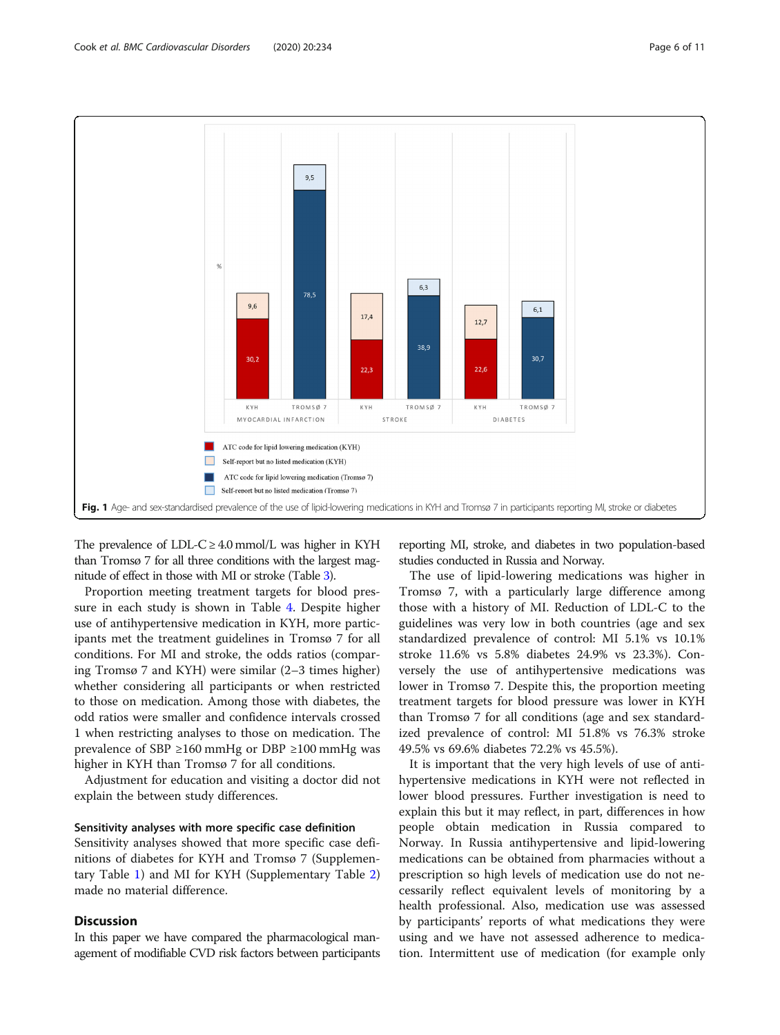<span id="page-5-0"></span>

The prevalence of LDL-C  $\geq$  4.0 mmol/L was higher in KYH than Tromsø 7 for all three conditions with the largest magnitude of effect in those with MI or stroke (Table [3\)](#page-7-0).

Proportion meeting treatment targets for blood pressure in each study is shown in Table [4.](#page-8-0) Despite higher use of antihypertensive medication in KYH, more participants met the treatment guidelines in Tromsø 7 for all conditions. For MI and stroke, the odds ratios (comparing Tromsø 7 and KYH) were similar (2–3 times higher) whether considering all participants or when restricted to those on medication. Among those with diabetes, the odd ratios were smaller and confidence intervals crossed 1 when restricting analyses to those on medication. The prevalence of SBP ≥160 mmHg or DBP ≥100 mmHg was higher in KYH than Tromsø 7 for all conditions.

Adjustment for education and visiting a doctor did not explain the between study differences.

#### Sensitivity analyses with more specific case definition

Sensitivity analyses showed that more specific case definitions of diabetes for KYH and Tromsø 7 (Supplementary Table [1](#page-9-0)) and MI for KYH (Supplementary Table [2](#page-9-0)) made no material difference.

#### **Discussion**

In this paper we have compared the pharmacological management of modifiable CVD risk factors between participants reporting MI, stroke, and diabetes in two population-based studies conducted in Russia and Norway.

The use of lipid-lowering medications was higher in Tromsø 7, with a particularly large difference among those with a history of MI. Reduction of LDL-C to the guidelines was very low in both countries (age and sex standardized prevalence of control: MI 5.1% vs 10.1% stroke 11.6% vs 5.8% diabetes 24.9% vs 23.3%). Conversely the use of antihypertensive medications was lower in Tromsø 7. Despite this, the proportion meeting treatment targets for blood pressure was lower in KYH than Tromsø 7 for all conditions (age and sex standardized prevalence of control: MI 51.8% vs 76.3% stroke 49.5% vs 69.6% diabetes 72.2% vs 45.5%).

It is important that the very high levels of use of antihypertensive medications in KYH were not reflected in lower blood pressures. Further investigation is need to explain this but it may reflect, in part, differences in how people obtain medication in Russia compared to Norway. In Russia antihypertensive and lipid-lowering medications can be obtained from pharmacies without a prescription so high levels of medication use do not necessarily reflect equivalent levels of monitoring by a health professional. Also, medication use was assessed by participants' reports of what medications they were using and we have not assessed adherence to medication. Intermittent use of medication (for example only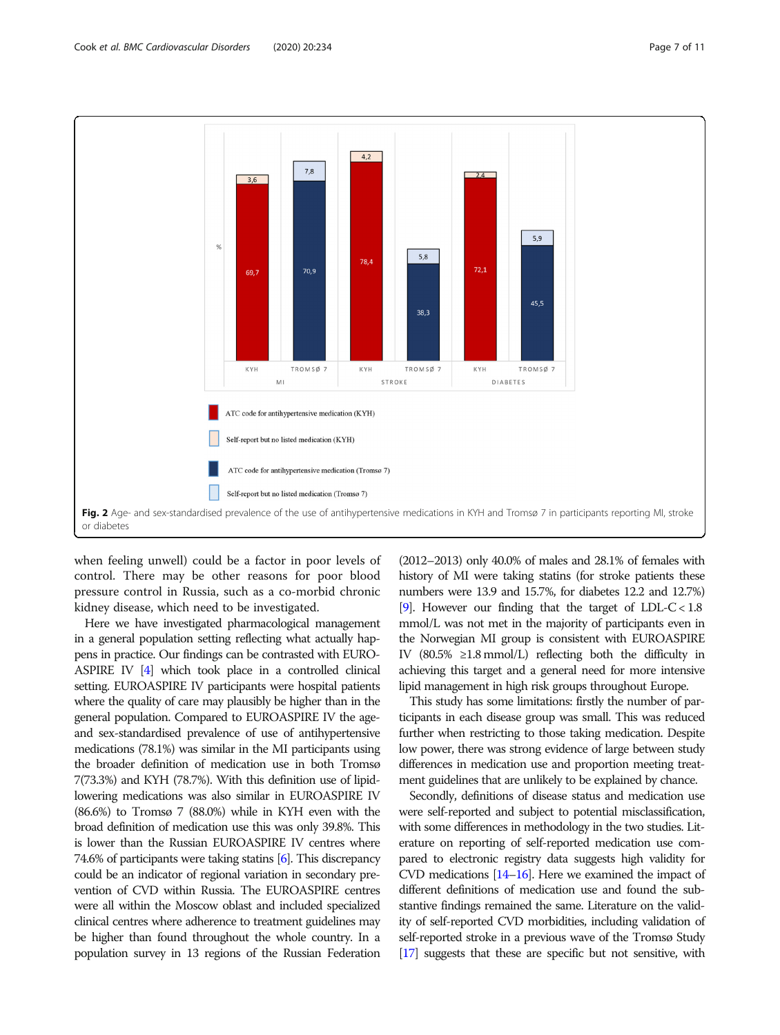<span id="page-6-0"></span>

when feeling unwell) could be a factor in poor levels of control. There may be other reasons for poor blood pressure control in Russia, such as a co-morbid chronic kidney disease, which need to be investigated.

Here we have investigated pharmacological management in a general population setting reflecting what actually happens in practice. Our findings can be contrasted with EURO-ASPIRE IV [\[4\]](#page-10-0) which took place in a controlled clinical setting. EUROASPIRE IV participants were hospital patients where the quality of care may plausibly be higher than in the general population. Compared to EUROASPIRE IV the ageand sex-standardised prevalence of use of antihypertensive medications (78.1%) was similar in the MI participants using the broader definition of medication use in both Tromsø 7(73.3%) and KYH (78.7%). With this definition use of lipidlowering medications was also similar in EUROASPIRE IV (86.6%) to Tromsø 7 (88.0%) while in KYH even with the broad definition of medication use this was only 39.8%. This is lower than the Russian EUROASPIRE IV centres where 74.6% of participants were taking statins [\[6\]](#page-10-0). This discrepancy could be an indicator of regional variation in secondary prevention of CVD within Russia. The EUROASPIRE centres were all within the Moscow oblast and included specialized clinical centres where adherence to treatment guidelines may be higher than found throughout the whole country. In a population survey in 13 regions of the Russian Federation

(2012–2013) only 40.0% of males and 28.1% of females with history of MI were taking statins (for stroke patients these numbers were 13.9 and 15.7%, for diabetes 12.2 and 12.7%) [[9](#page-10-0)]. However our finding that the target of LDL-C <  $1.8$ mmol/L was not met in the majority of participants even in the Norwegian MI group is consistent with EUROASPIRE IV  $(80.5\% \geq 1.8 \text{ mmol/L})$  reflecting both the difficulty in achieving this target and a general need for more intensive lipid management in high risk groups throughout Europe.

This study has some limitations: firstly the number of participants in each disease group was small. This was reduced further when restricting to those taking medication. Despite low power, there was strong evidence of large between study differences in medication use and proportion meeting treatment guidelines that are unlikely to be explained by chance.

Secondly, definitions of disease status and medication use were self-reported and subject to potential misclassification, with some differences in methodology in the two studies. Literature on reporting of self-reported medication use compared to electronic registry data suggests high validity for CVD medications  $[14–16]$  $[14–16]$  $[14–16]$  $[14–16]$ . Here we examined the impact of different definitions of medication use and found the substantive findings remained the same. Literature on the validity of self-reported CVD morbidities, including validation of self-reported stroke in a previous wave of the Tromsø Study [[17\]](#page-10-0) suggests that these are specific but not sensitive, with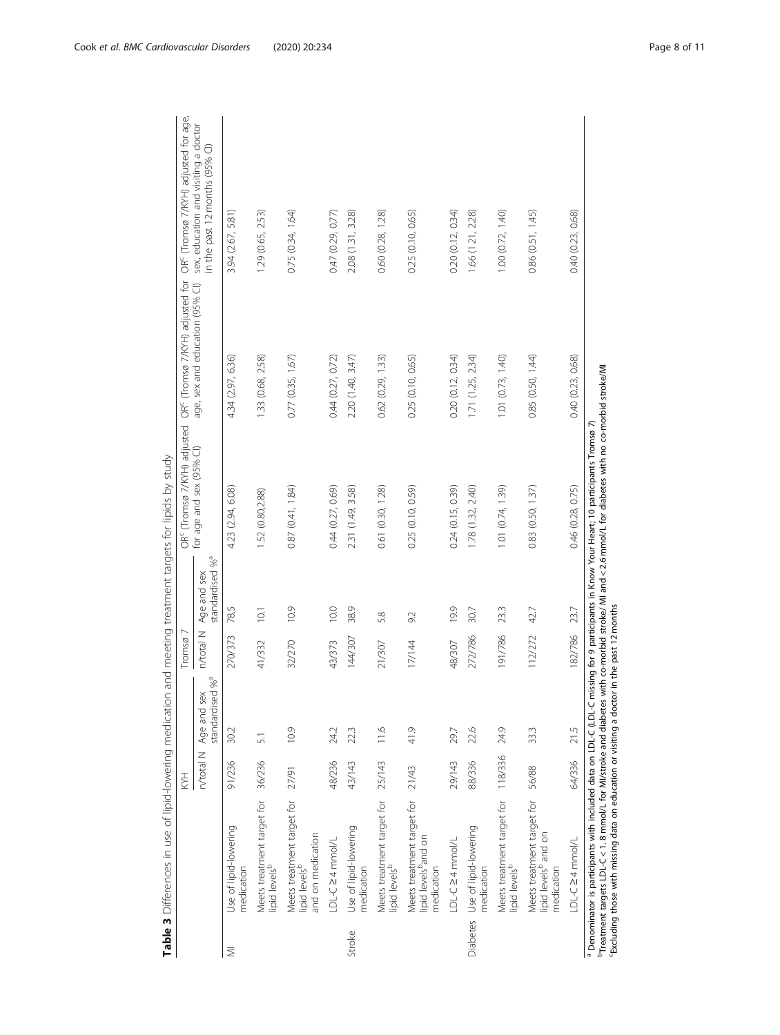<span id="page-7-0"></span>

|        | IS CONSIDERED IN A PORT IN THE RESERVED OF THE PROPERTY OF THE PROPERTY OF THE PROPERTY OF THE RESERVED OF THE PROPERTY OF THE PROPERTY OF THE PROPERTY OF THE PROPERTY OF THE PROPERTY OF THE PROPERTY OF THE PROPERTY OF THE | H         |                                            | $Troms\varnothing$ |                                            | OR <sup>c</sup> (Tromsø 7/KYH) adjusted                                                                                                                                                                                                                                                                      | OR <sup>c</sup> (Tromsø 7/KYH) adjusted for | OR <sup>c</sup> (Tromsø 7/KYH) adjusted for age,                       |
|--------|--------------------------------------------------------------------------------------------------------------------------------------------------------------------------------------------------------------------------------|-----------|--------------------------------------------|--------------------|--------------------------------------------|--------------------------------------------------------------------------------------------------------------------------------------------------------------------------------------------------------------------------------------------------------------------------------------------------------------|---------------------------------------------|------------------------------------------------------------------------|
|        |                                                                                                                                                                                                                                | n/total N | standardised % <sup>a</sup><br>Age and sex | n/total N          | standardised % <sup>a</sup><br>Age and sex | for age and sex (95% CI)                                                                                                                                                                                                                                                                                     | age, sex and education (95% Cl)             | sex, education and visiting a doctor<br>in the past 12 months (95% CI) |
| ₹      | Use of lipid-lowering<br>medication                                                                                                                                                                                            | 91/236    | 30.2                                       | 270/373            | 78.5                                       | 4.23 (2.94, 6.08)                                                                                                                                                                                                                                                                                            | 4.34 (2.97, 6.36)                           | 3.94 (2.67, 5.81)                                                      |
|        | Meets treatment target for<br>lipid levels <sup>b</sup>                                                                                                                                                                        | 36/236    | $\overline{5}$                             | 41/332             | 10.1                                       | 1.52 (0.80,2.88)                                                                                                                                                                                                                                                                                             | 1.33 (0.68, 2.58)                           | 1.29 (0.65, 2.53)                                                      |
|        | Meets treatment target for<br>lipid levels <sup>b</sup><br>and on medication                                                                                                                                                   | 27/91     | 10.9                                       | 32/270             | 10.9                                       | 0.87(0.41, 1.84)                                                                                                                                                                                                                                                                                             | 0.77(0.35, 1.67)                            | 0.75(0.34, 1.64)                                                       |
|        | LDL-C24mmol/L                                                                                                                                                                                                                  | 48/236    | 24.2                                       | 43/373             | 10.0                                       | 0.44 (0.27, 0.69)                                                                                                                                                                                                                                                                                            | 0.44 (0.27, 0.72)                           | 0.47 (0.29, 0.77)                                                      |
| Stroke | Use of lipid-lowering<br>medication                                                                                                                                                                                            | 43/143    | 22.3                                       | 144/307            | 38.9                                       | 2.31 (1.49, 3.58)                                                                                                                                                                                                                                                                                            | 2.20(1.40, 3.47)                            | 2.08 (1.31, 3.28)                                                      |
|        | Meets treatment target for<br>lipid levels <sup>b</sup>                                                                                                                                                                        | 25/143    | 11.6                                       | 21/307             | 5.8                                        | 0.61 (0.30, 1.28)                                                                                                                                                                                                                                                                                            | 0.62(0.29, 1.33)                            | 0.60 (0.28, 1.28)                                                      |
|        | Meets treatment target for<br>lipid levels <sup>b</sup> and on<br>medication                                                                                                                                                   | 21/43     | 41.9                                       | 17/144             | 9.2                                        | 0.25 (0.10, 0.59)                                                                                                                                                                                                                                                                                            | 0.25(0.10, 0.65)                            | 0.25 (0.10, 0.65)                                                      |
|        | LDL-C24mmol/L                                                                                                                                                                                                                  | 29/143    | 29.7                                       | 48/307             | 19.9                                       | 0.24 (0.15, 0.39)                                                                                                                                                                                                                                                                                            | 0.20(0.12, 0.34)                            | 0.20(0.12, 0.34)                                                       |
|        | Diabetes Use of lipid-lowering<br>medication                                                                                                                                                                                   | 88/336    | 22.6                                       | 272/786            | 30.7                                       | 1.78 (1.32, 2.40)                                                                                                                                                                                                                                                                                            | 1.71(1.25, 2.34)                            | 1.66 (1.21, 2.28)                                                      |
|        | Meets treatment target for<br>lipid levels <sup>b</sup>                                                                                                                                                                        | 118/336   | 24.9                                       | 191/786            | 23.3                                       | 1.01 (0.74, 1.39)                                                                                                                                                                                                                                                                                            | 1.01(0.73, 1.40)                            | 1.00(0.72, 1.40)                                                       |
|        | Meets treatment target for<br>lipid levels <sup>b</sup> and on<br>medication                                                                                                                                                   | 56/88     | 33.3                                       | 112/272 42.7       |                                            | 0.83(0.50, 1.37)                                                                                                                                                                                                                                                                                             | 0.85(0.50, 1.44)                            | 0.86(0.51, 1.45)                                                       |
|        | LDL-C24mmol/L                                                                                                                                                                                                                  | 64/336    | 21.5                                       | 182/786            | 23.7                                       | 0.46 (0.28, 0.75)                                                                                                                                                                                                                                                                                            | 0.40 (0.23, 0.68)                           | 0.40 (0.23, 0.68)                                                      |
|        | Excluding those with missing data on education or visiting a doctor in the past 12 months                                                                                                                                      |           |                                            |                    |                                            | Treatment targets LDL-C < 1. 8 mmol/L for M//stroke and diabetes with co-morbid stroke/ MI and < 2.6 mmol/L for diabetes with no co-morbid stroke/MI<br><sup>a</sup> Denominator is participants with included data on LDL-C (LDL-C missing for 9 participants in Know Your Heart; 10 participants Tromsø 7. |                                             |                                                                        |

ets for lipids by study Table 3 Differences in use of lipid-lowering medication and meeting treatment targets for lipids by study  $\ddot{\zeta}$  $- + + \sim$ and me modication Table 3 Differences in use of linid-lowering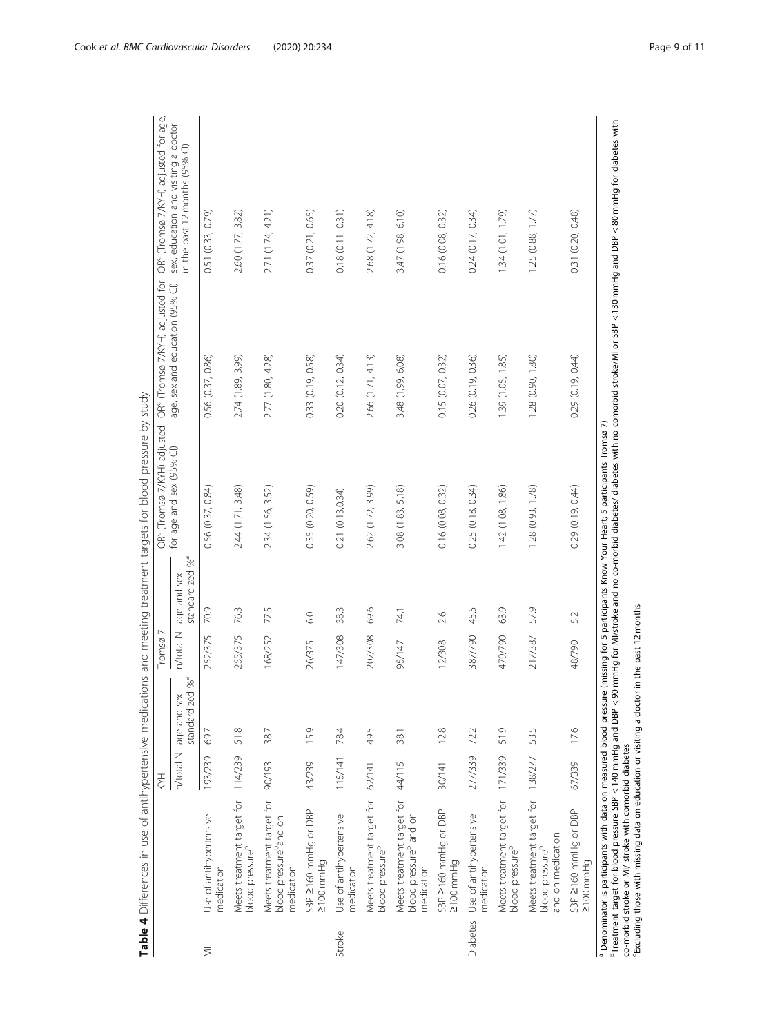<span id="page-8-0"></span>

|                  |                                                                                | HXX       |                                            | Tromsø $7$ |                                            | La Shiriki Maraya mahali ya mata wa kati ya kati ya kati ya kati ya kati ya kati ya kati ya kati ya kati ya kati ya kati ya kati ya kati ya kati ya kati ya kati ya kati ya kati ya kati ya kati ya kati ya kati ya kati ya k<br>OR <sup>c</sup> (Tromsø 7/KYH) adjusted | OR <sup>c</sup> (Tromsø 7/KYH) adjusted for | OR <sup>c</sup> (Tromsø 7/KYH) adjusted for age,                       |
|------------------|--------------------------------------------------------------------------------|-----------|--------------------------------------------|------------|--------------------------------------------|--------------------------------------------------------------------------------------------------------------------------------------------------------------------------------------------------------------------------------------------------------------------------|---------------------------------------------|------------------------------------------------------------------------|
|                  |                                                                                | n/total N | standardized % <sup>a</sup><br>age and sex | n/total N  | standardized % <sup>a</sup><br>age and sex | for age and sex (95% CI)                                                                                                                                                                                                                                                 | age, sex and education (95% CI)             | sex, education and visiting a doctor<br>in the past 12 months (95% CI) |
| ₹                | Use of antihypertensive<br>medication                                          | 193/239   | 69.7                                       | 252/375    | 70.9                                       | 0.56(0.37, 0.84)                                                                                                                                                                                                                                                         | 0.56 (0.37, 0.86)                           | 0.51 (0.33, 0.79)                                                      |
|                  | Meets treatment target for 114/239<br>blood pressure <sup>b</sup>              |           | 51.8                                       | 255/375    | 76.3                                       | 2.44 (1.71, 3.48)                                                                                                                                                                                                                                                        | 2.74 (1.89, 3.99)                           | 2.60 (1.77, 3.82)                                                      |
|                  | Meets treatment target for<br>blood pressure <sup>p</sup> and on<br>medication | 90/193    | 38.7                                       | 168/252    | 77.5                                       | 2.34 (1.56, 3.52)                                                                                                                                                                                                                                                        | 2.77 (1.80, 4.28)                           | 2.71 (1.74, 4.21)                                                      |
|                  | SBP 2160 mmHg or DBP<br>$2100$ mmHg                                            | 43/239    | 15.9                                       | 26/375     | 60                                         | 0.35 (0.20, 0.59)                                                                                                                                                                                                                                                        | 0.33 (0.19, 0.58)                           | 0.37(0.21, 0.65)                                                       |
| Stroke           | Use of antihypertensive<br>medication                                          | 115/141   | 78.4                                       | 147/308    | 38.3                                       | 0.21(0.13, 0.34)                                                                                                                                                                                                                                                         | 0.20(0.12, 0.34)                            | 0.18(0.11, 0.31)                                                       |
|                  | Meets treatment target for<br>blood pressure <sup>b</sup>                      | 62/141    | 49.5                                       | 207/308    | 69.6                                       | 2.62 (1.72, 3.99)                                                                                                                                                                                                                                                        | 2.66 (1.71, 4.13)                           | 2.68 (1.72, 4.18)                                                      |
|                  | Meets treatment target for<br>blood pressure <sup>b</sup> and on<br>medication | 44/115    | 38.1                                       | 95/147     | 74.1                                       | 3.08 (1.83, 5.18)                                                                                                                                                                                                                                                        | 3.48 (1.99, 6.08)                           | 3.47 (1.98, 6.10)                                                      |
|                  | SBP 2160 mmHg or DBP<br>$2100$ mmHg                                            | 30/141    | 12.8                                       | 12/308     | 2.6                                        | 0.16(0.08, 0.32)                                                                                                                                                                                                                                                         | 0.15(0.07, 0.32)                            | 0.16 (0.08, 0.32)                                                      |
| Diabetes         | Use of antihypertensive<br>medication                                          | 277/339   | 72.2                                       | 387/790    | 45.5                                       | 0.25(0.18, 0.34)                                                                                                                                                                                                                                                         | 0.26 (0.19, 0.36)                           | 0.24(0.17, 0.34)                                                       |
|                  | Meets treatment target for 171/339<br>blood pressure <sup>b</sup>              |           | 51.9                                       | 479/790    | 63.9                                       | 1.42 (1.08, 1.86)                                                                                                                                                                                                                                                        | 1.39 (1.05, 1.85)                           | 1.34(1.01, 1.79)                                                       |
|                  | Meets treatment target for<br>and on medication<br>blood pressure <sup>b</sup> | 138/277   | 53.5                                       | 217/387    | 57.9                                       | 1.28 (0.93, 1.78)                                                                                                                                                                                                                                                        | 1.28 (0.90, 1.80)                           | 1.25(0.88, 1.77)                                                       |
|                  | SBP 2160 mmHg or DBP<br>2100 mmHg                                              | 67/339    | 17.6                                       | 48/790     | 5.2                                        | 0.29(0.19, 0.44)                                                                                                                                                                                                                                                         | 0.29(0.19, 0.44)                            | 0.31 (0.20, 0.48)                                                      |
| a Donominator is | participante with data                                                         |           | moneurad blood proc                        |            |                                            | voltaireine fan Energie Valle Hoalt Energie en de Trouwe Theodo                                                                                                                                                                                                          |                                             |                                                                        |

chindy Table 4 Differences in use of antihypertensive medications and meeting treatment targets for blood pressure by study for blood precure by  $\frac{1}{4}$ ن<br>نه  $\frac{4}{3}$  $\frac{1}{2}$  $\tilde{\zeta}$ Table 4 Diffe

Denominator is participants with data on measured blood pressure (missing for 5 participants Know Your Heart; 5 participants Tromsø 7)

° Denominator is participants with data on measured blood pressure (missing for 5 participants Know Your Heart; 5 participants Tromsø 7)<br><sup>b</sup>Treatment target for blood pressure SBP < 140 mmHg and DBP < 90 mmHg for MI/strok  $\mathbb{T}$ reatment target for blood pressure SBP < 140 mmHg and DBP < 90 mmHg for MI/stroke and no co-morbid diabetes/ diabetes with no comorbid stroke/MI or SBP < 130 mmHg and DBP < 80 mmHg for diabetes with co-morbid stroke or MI/ stroke with comorbid diabetes

cExcluding those with missing data on education or visiting a doctor in the past 12 months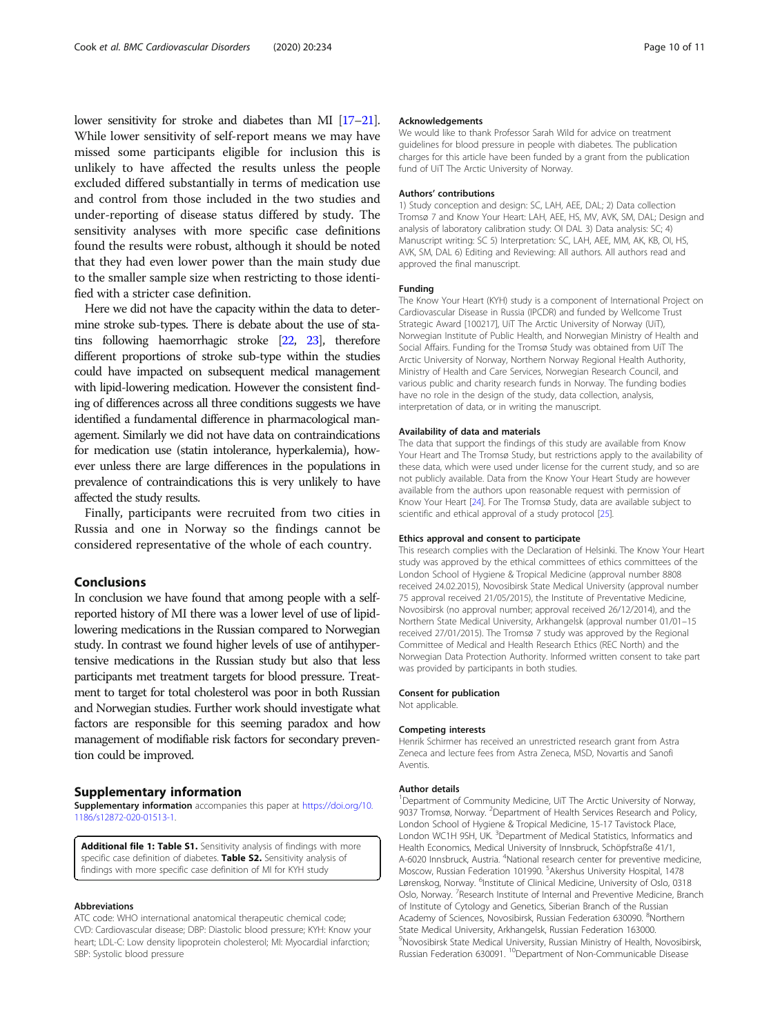<span id="page-9-0"></span>lower sensitivity for stroke and diabetes than MI [\[17](#page-10-0)–[21\]](#page-10-0). While lower sensitivity of self-report means we may have missed some participants eligible for inclusion this is unlikely to have affected the results unless the people excluded differed substantially in terms of medication use and control from those included in the two studies and under-reporting of disease status differed by study. The sensitivity analyses with more specific case definitions found the results were robust, although it should be noted that they had even lower power than the main study due to the smaller sample size when restricting to those identified with a stricter case definition.

Here we did not have the capacity within the data to determine stroke sub-types. There is debate about the use of statins following haemorrhagic stroke [\[22,](#page-10-0) [23](#page-10-0)], therefore different proportions of stroke sub-type within the studies could have impacted on subsequent medical management with lipid-lowering medication. However the consistent finding of differences across all three conditions suggests we have identified a fundamental difference in pharmacological management. Similarly we did not have data on contraindications for medication use (statin intolerance, hyperkalemia), however unless there are large differences in the populations in prevalence of contraindications this is very unlikely to have affected the study results.

Finally, participants were recruited from two cities in Russia and one in Norway so the findings cannot be considered representative of the whole of each country.

#### Conclusions

In conclusion we have found that among people with a selfreported history of MI there was a lower level of use of lipidlowering medications in the Russian compared to Norwegian study. In contrast we found higher levels of use of antihypertensive medications in the Russian study but also that less participants met treatment targets for blood pressure. Treatment to target for total cholesterol was poor in both Russian and Norwegian studies. Further work should investigate what factors are responsible for this seeming paradox and how management of modifiable risk factors for secondary prevention could be improved.

#### Supplementary information

Supplementary information accompanies this paper at [https://doi.org/10.](https://doi.org/10.1186/s12872-020-01513-1) [1186/s12872-020-01513-1](https://doi.org/10.1186/s12872-020-01513-1).

Additional file 1: Table S1. Sensitivity analysis of findings with more specific case definition of diabetes. Table S2. Sensitivity analysis of findings with more specific case definition of MI for KYH study

#### Abbreviations

ATC code: WHO international anatomical therapeutic chemical code; CVD: Cardiovascular disease; DBP: Diastolic blood pressure; KYH: Know your heart; LDL-C: Low density lipoprotein cholesterol; MI: Myocardial infarction; SBP: Systolic blood pressure

#### Acknowledgements

We would like to thank Professor Sarah Wild for advice on treatment guidelines for blood pressure in people with diabetes. The publication charges for this article have been funded by a grant from the publication fund of UiT The Arctic University of Norway.

#### Authors' contributions

1) Study conception and design: SC, LAH, AEE, DAL; 2) Data collection Tromsø 7 and Know Your Heart: LAH, AEE, HS, MV, AVK, SM, DAL; Design and analysis of laboratory calibration study: OI DAL 3) Data analysis: SC; 4) Manuscript writing: SC 5) Interpretation: SC, LAH, AEE, MM, AK, KB, OI, HS, AVK, SM, DAL 6) Editing and Reviewing: All authors. All authors read and approved the final manuscript.

#### Funding

The Know Your Heart (KYH) study is a component of International Project on Cardiovascular Disease in Russia (IPCDR) and funded by Wellcome Trust Strategic Award [100217], UiT The Arctic University of Norway (UiT), Norwegian Institute of Public Health, and Norwegian Ministry of Health and Social Affairs. Funding for the Tromsø Study was obtained from UiT The Arctic University of Norway, Northern Norway Regional Health Authority, Ministry of Health and Care Services, Norwegian Research Council, and various public and charity research funds in Norway. The funding bodies have no role in the design of the study, data collection, analysis, interpretation of data, or in writing the manuscript.

#### Availability of data and materials

The data that support the findings of this study are available from Know Your Heart and The Tromsø Study, but restrictions apply to the availability of these data, which were used under license for the current study, and so are not publicly available. Data from the Know Your Heart Study are however available from the authors upon reasonable request with permission of Know Your Heart [\[24\]](#page-10-0). For The Tromsø Study, data are available subject to scientific and ethical approval of a study protocol [\[25\]](#page-10-0).

#### Ethics approval and consent to participate

This research complies with the Declaration of Helsinki. The Know Your Heart study was approved by the ethical committees of ethics committees of the London School of Hygiene & Tropical Medicine (approval number 8808 received 24.02.2015), Novosibirsk State Medical University (approval number 75 approval received 21/05/2015), the Institute of Preventative Medicine, Novosibirsk (no approval number; approval received 26/12/2014), and the Northern State Medical University, Arkhangelsk (approval number 01/01–15 received 27/01/2015). The Tromsø 7 study was approved by the Regional Committee of Medical and Health Research Ethics (REC North) and the Norwegian Data Protection Authority. Informed written consent to take part was provided by participants in both studies.

#### Consent for publication

Not applicable.

#### Competing interests

Henrik Schirmer has received an unrestricted research grant from Astra Zeneca and lecture fees from Astra Zeneca, MSD, Novartis and Sanofi Aventis.

#### Author details

<sup>1</sup>Department of Community Medicine, UiT The Arctic University of Norway, 9037 Tromsø, Norway. <sup>2</sup>Department of Health Services Research and Policy London School of Hygiene & Tropical Medicine, 15-17 Tavistock Place, London WC1H 9SH, UK. <sup>3</sup>Department of Medical Statistics, Informatics and Health Economics, Medical University of Innsbruck, Schöpfstraße 41/1, A-6020 Innsbruck, Austria. <sup>4</sup>National research center for preventive medicine Moscow, Russian Federation 101990. <sup>5</sup> Akershus University Hospital, 1478 Lørenskog, Norway. <sup>6</sup>Institute of Clinical Medicine, University of Oslo, 0318 Oslo, Norway. <sup>7</sup>Research Institute of Internal and Preventive Medicine, Branch of Institute of Cytology and Genetics, Siberian Branch of the Russian Academy of Sciences, Novosibirsk, Russian Federation 630090. <sup>8</sup>Northern State Medical University, Arkhangelsk, Russian Federation 163000. 9 Novosibirsk State Medical University, Russian Ministry of Health, Novosibirsk, Russian Federation 630091.<sup>10</sup>Department of Non-Communicable Disease